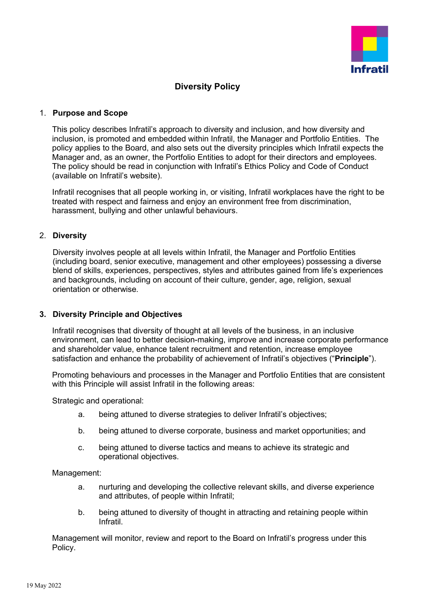

# **Diversity Policy**

#### 1. **Purpose and Scope**

This policy describes Infratil's approach to diversity and inclusion, and how diversity and inclusion, is promoted and embedded within Infratil, the Manager and Portfolio Entities. The policy applies to the Board, and also sets out the diversity principles which Infratil expects the Manager and, as an owner, the Portfolio Entities to adopt for their directors and employees. The policy should be read in conjunction with Infratil's Ethics Policy and Code of Conduct (available on Infratil's website).

Infratil recognises that all people working in, or visiting, Infratil workplaces have the right to be treated with respect and fairness and enjoy an environment free from discrimination, harassment, bullying and other unlawful behaviours.

## 2. **Diversity**

Diversity involves people at all levels within Infratil, the Manager and Portfolio Entities (including board, senior executive, management and other employees) possessing a diverse blend of skills, experiences, perspectives, styles and attributes gained from life's experiences and backgrounds, including on account of their culture, gender, age, religion, sexual orientation or otherwise.

#### **3. Diversity Principle and Objectives**

Infratil recognises that diversity of thought at all levels of the business, in an inclusive environment, can lead to better decision-making, improve and increase corporate performance and shareholder value, enhance talent recruitment and retention, increase employee satisfaction and enhance the probability of achievement of Infratil's objectives ("**Principle**").

Promoting behaviours and processes in the Manager and Portfolio Entities that are consistent with this Principle will assist Infratil in the following areas:

Strategic and operational:

- a. being attuned to diverse strategies to deliver Infratil's objectives;
- b. being attuned to diverse corporate, business and market opportunities; and
- c. being attuned to diverse tactics and means to achieve its strategic and operational objectives.

Management:

- a. nurturing and developing the collective relevant skills, and diverse experience and attributes, of people within Infratil;
- b. being attuned to diversity of thought in attracting and retaining people within Infratil.

Management will monitor, review and report to the Board on Infratil's progress under this Policy.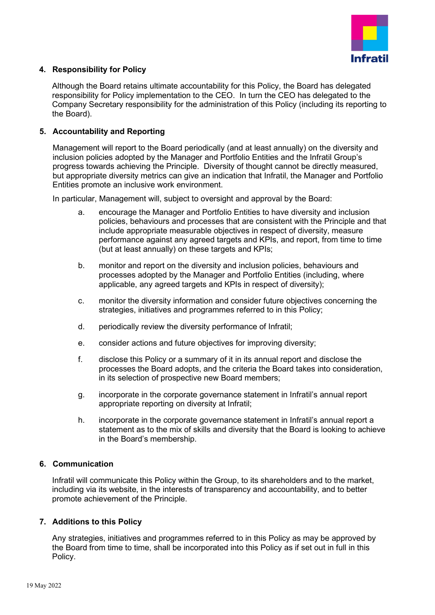

## **4. Responsibility for Policy**

Although the Board retains ultimate accountability for this Policy, the Board has delegated responsibility for Policy implementation to the CEO. In turn the CEO has delegated to the Company Secretary responsibility for the administration of this Policy (including its reporting to the Board).

## **5. Accountability and Reporting**

Management will report to the Board periodically (and at least annually) on the diversity and inclusion policies adopted by the Manager and Portfolio Entities and the Infratil Group's progress towards achieving the Principle. Diversity of thought cannot be directly measured, but appropriate diversity metrics can give an indication that Infratil, the Manager and Portfolio Entities promote an inclusive work environment.

In particular, Management will, subject to oversight and approval by the Board:

- a. encourage the Manager and Portfolio Entities to have diversity and inclusion policies, behaviours and processes that are consistent with the Principle and that include appropriate measurable objectives in respect of diversity, measure performance against any agreed targets and KPIs, and report, from time to time (but at least annually) on these targets and KPIs;
- b. monitor and report on the diversity and inclusion policies, behaviours and processes adopted by the Manager and Portfolio Entities (including, where applicable, any agreed targets and KPIs in respect of diversity);
- c. monitor the diversity information and consider future objectives concerning the strategies, initiatives and programmes referred to in this Policy;
- d. periodically review the diversity performance of Infratil;
- e. consider actions and future objectives for improving diversity;
- f. disclose this Policy or a summary of it in its annual report and disclose the processes the Board adopts, and the criteria the Board takes into consideration, in its selection of prospective new Board members;
- g. incorporate in the corporate governance statement in Infratil's annual report appropriate reporting on diversity at Infratil;
- h. incorporate in the corporate governance statement in Infratil's annual report a statement as to the mix of skills and diversity that the Board is looking to achieve in the Board's membership.

#### **6. Communication**

Infratil will communicate this Policy within the Group, to its shareholders and to the market, including via its website, in the interests of transparency and accountability, and to better promote achievement of the Principle.

#### **7. Additions to this Policy**

Any strategies, initiatives and programmes referred to in this Policy as may be approved by the Board from time to time, shall be incorporated into this Policy as if set out in full in this Policy.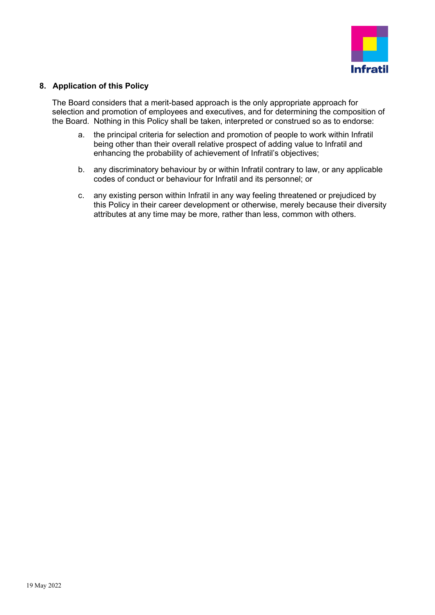

## **8. Application of this Policy**

The Board considers that a merit-based approach is the only appropriate approach for selection and promotion of employees and executives, and for determining the composition of the Board. Nothing in this Policy shall be taken, interpreted or construed so as to endorse:

- a. the principal criteria for selection and promotion of people to work within Infratil being other than their overall relative prospect of adding value to Infratil and enhancing the probability of achievement of Infratil's objectives;
- b. any discriminatory behaviour by or within Infratil contrary to law, or any applicable codes of conduct or behaviour for Infratil and its personnel; or
- c. any existing person within Infratil in any way feeling threatened or prejudiced by this Policy in their career development or otherwise, merely because their diversity attributes at any time may be more, rather than less, common with others.